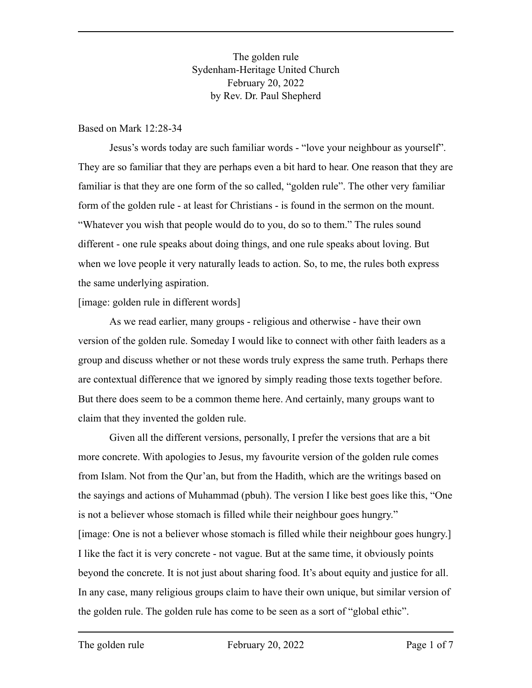The golden rule Sydenham-Heritage United Church February 20, 2022 by Rev. Dr. Paul Shepherd

#### Based on Mark 12:28-34

Jesus's words today are such familiar words - "love your neighbour as yourself". They are so familiar that they are perhaps even a bit hard to hear. One reason that they are familiar is that they are one form of the so called, "golden rule". The other very familiar form of the golden rule - at least for Christians - is found in the sermon on the mount. "Whatever you wish that people would do to you, do so to them." The rules sound different - one rule speaks about doing things, and one rule speaks about loving. But when we love people it very naturally leads to action. So, to me, the rules both express the same underlying aspiration.

[image: golden rule in different words]

As we read earlier, many groups - religious and otherwise - have their own version of the golden rule. Someday I would like to connect with other faith leaders as a group and discuss whether or not these words truly express the same truth. Perhaps there are contextual difference that we ignored by simply reading those texts together before. But there does seem to be a common theme here. And certainly, many groups want to claim that they invented the golden rule.

Given all the different versions, personally, I prefer the versions that are a bit more concrete. With apologies to Jesus, my favourite version of the golden rule comes from Islam. Not from the Qur'an, but from the Hadith, which are the writings based on the sayings and actions of Muhammad (pbuh). The version I like best goes like this, "One is not a believer whose stomach is filled while their neighbour goes hungry." [image: One is not a believer whose stomach is filled while their neighbour goes hungry.] I like the fact it is very concrete - not vague. But at the same time, it obviously points beyond the concrete. It is not just about sharing food. It's about equity and justice for all. In any case, many religious groups claim to have their own unique, but similar version of the golden rule. The golden rule has come to be seen as a sort of "global ethic".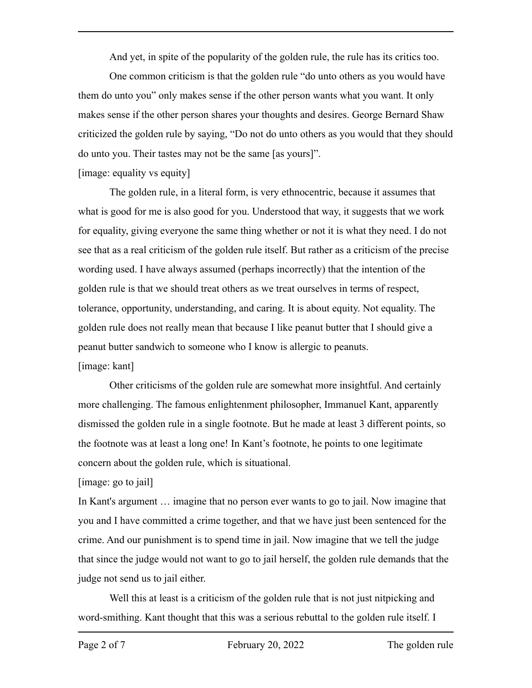And yet, in spite of the popularity of the golden rule, the rule has its critics too.

One common criticism is that the golden rule "do unto others as you would have them do unto you" only makes sense if the other person wants what you want. It only makes sense if the other person shares your thoughts and desires. George Bernard Shaw criticized the golden rule by saying, "Do not do unto others as you would that they should do unto you. Their tastes may not be the same [as yours]".

## [image: equality vs equity]

The golden rule, in a literal form, is very ethnocentric, because it assumes that what is good for me is also good for you. Understood that way, it suggests that we work for equality, giving everyone the same thing whether or not it is what they need. I do not see that as a real criticism of the golden rule itself. But rather as a criticism of the precise wording used. I have always assumed (perhaps incorrectly) that the intention of the golden rule is that we should treat others as we treat ourselves in terms of respect, tolerance, opportunity, understanding, and caring. It is about equity. Not equality. The golden rule does not really mean that because I like peanut butter that I should give a peanut butter sandwich to someone who I know is allergic to peanuts. [image: kant]

Other criticisms of the golden rule are somewhat more insightful. And certainly more challenging. The famous enlightenment philosopher, Immanuel Kant, apparently dismissed the golden rule in a single footnote. But he made at least 3 different points, so the footnote was at least a long one! In Kant's footnote, he points to one legitimate concern about the golden rule, which is situational.

# [image: go to jail]

In Kant's argument … imagine that no person ever wants to go to jail. Now imagine that you and I have committed a crime together, and that we have just been sentenced for the crime. And our punishment is to spend time in jail. Now imagine that we tell the judge that since the judge would not want to go to jail herself, the golden rule demands that the judge not send us to jail either.

Well this at least is a criticism of the golden rule that is not just nitpicking and word-smithing. Kant thought that this was a serious rebuttal to the golden rule itself. I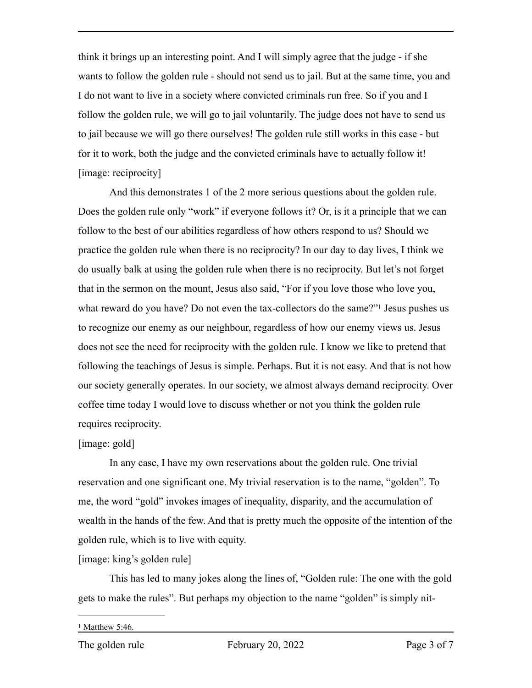think it brings up an interesting point. And I will simply agree that the judge - if she wants to follow the golden rule - should not send us to jail. But at the same time, you and I do not want to live in a society where convicted criminals run free. So if you and I follow the golden rule, we will go to jail voluntarily. The judge does not have to send us to jail because we will go there ourselves! The golden rule still works in this case - but for it to work, both the judge and the convicted criminals have to actually follow it! [image: reciprocity]

<span id="page-2-1"></span>And this demonstrates 1 of the 2 more serious questions about the golden rule. Does the golden rule only "work" if everyone follows it? Or, is it a principle that we can follow to the best of our abilities regardless of how others respond to us? Should we practice the golden rule when there is no reciprocity? In our day to day lives, I think we do usually balk at using the golden rule when there is no reciprocity. But let's not forget that in the sermon on the mount, Jesus also said, "For if you love those who love you, what reward do you have? Do not even the tax-collectors do the same?["](#page-2-0)<sup>[1](#page-2-0)</sup> Jesus pushes us to recognize our enemy as our neighbour, regardless of how our enemy views us. Jesus does not see the need for reciprocity with the golden rule. I know we like to pretend that following the teachings of Jesus is simple. Perhaps. But it is not easy. And that is not how our society generally operates. In our society, we almost always demand reciprocity. Over coffee time today I would love to discuss whether or not you think the golden rule requires reciprocity.

### [image: gold]

In any case, I have my own reservations about the golden rule. One trivial reservation and one significant one. My trivial reservation is to the name, "golden". To me, the word "gold" invokes images of inequality, disparity, and the accumulation of wealth in the hands of the few. And that is pretty much the opposite of the intention of the golden rule, which is to live with equity.

### [image: king's golden rule]

This has led to many jokes along the lines of, "Golden rule: The one with the gold gets to make the rules". But perhaps my objection to the name "golden" is simply nit-

<span id="page-2-0"></span> $1$  Matthew 5:46.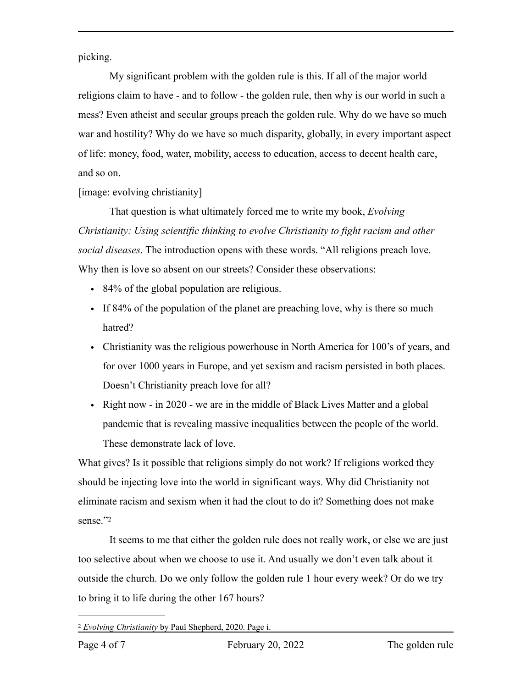picking.

My significant problem with the golden rule is this. If all of the major world religions claim to have - and to follow - the golden rule, then why is our world in such a mess? Even atheist and secular groups preach the golden rule. Why do we have so much war and hostility? Why do we have so much disparity, globally, in every important aspect of life: money, food, water, mobility, access to education, access to decent health care, and so on.

[image: evolving christianity]

That question is what ultimately forced me to write my book, *Evolving Christianity: Using scientific thinking to evolve Christianity to fight racism and other social diseases*. The introduction opens with these words. "All religions preach love. Why then is love so absent on our streets? Consider these observations:

- 84% of the global population are religious.
- If 84% of the population of the planet are preaching love, why is there so much hatred?
- Christianity was the religious powerhouse in North America for 100's of years, and for over 1000 years in Europe, and yet sexism and racism persisted in both places. Doesn't Christianity preach love for all?
- Right now in 2020 we are in the middle of Black Lives Matter and a global pandemic that is revealing massive inequalities between the people of the world. These demonstrate lack of love.

What gives? Is it possible that religions simply do not work? If religions worked they should be injecting love into the world in significant ways. Why did Christianity not eliminate racism and sexism when it had the clout to do it? Something does not make sense.["2](#page-3-0)

<span id="page-3-1"></span>It seems to me that either the golden rule does not really work, or else we are just too selective about when we choose to use it. And usually we don't even talk about it outside the church. Do we only follow the golden rule 1 hour every week? Or do we try to bring it to life during the other 167 hours?

<span id="page-3-0"></span>*Evolving Christianity* by Paul Shepherd, 2020. Page i. [2](#page-3-1)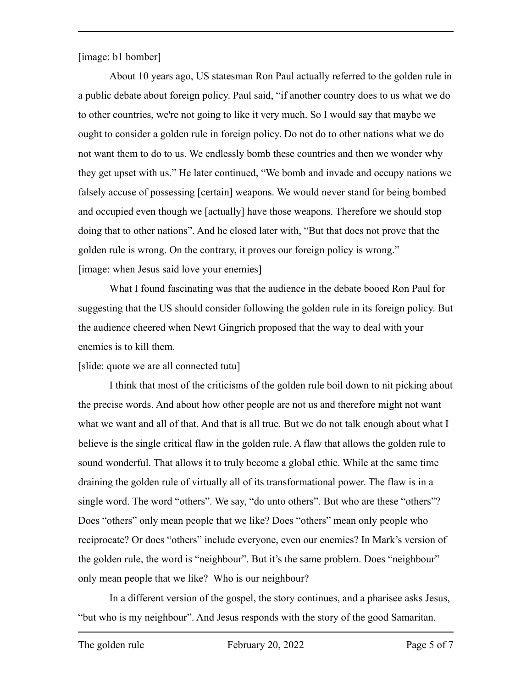[image: b1 bomber]

About 10 years ago, US statesman Ron Paul actually referred to the golden rule in a public debate about foreign policy. Paul said, "if another country does to us what we do to other countries, we're not going to like it very much. So I would say that maybe we ought to consider a golden rule in foreign policy. Do not do to other nations what we do not want them to do to us. We endlessly bomb these countries and then we wonder why they get upset with us." He later continued, "We bomb and invade and occupy nations we falsely accuse of possessing [certain] weapons. We would never stand for being bombed and occupied even though we [actually] have those weapons. Therefore we should stop doing that to other nations". And he closed later with, "But that does not prove that the golden rule is wrong. On the contrary, it proves our foreign policy is wrong." [image: when Jesus said love your enemies]

What I found fascinating was that the audience in the debate booed Ron Paul for suggesting that the US should consider following the golden rule in its foreign policy. But the audience cheered when Newt Gingrich proposed that the way to deal with your enemies is to kill them.

[slide: quote we are all connected tutu]

I think that most of the criticisms of the golden rule boil down to nit picking about the precise words. And about how other people are not us and therefore might not want what we want and all of that. And that is all true. But we do not talk enough about what I believe is the single critical flaw in the golden rule. A flaw that allows the golden rule to sound wonderful. That allows it to truly become a global ethic. While at the same time draining the golden rule of virtually all of its transformational power. The flaw is in a single word. The word "others". We say, "do unto others". But who are these "others"? Does "others" only mean people that we like? Does "others" mean only people who reciprocate? Or does "others" include everyone, even our enemies? In Mark's version of the golden rule, the word is "neighbour". But it's the same problem. Does "neighbour" only mean people that we like? Who is our neighbour?

In a different version of the gospel, the story continues, and a pharisee asks Jesus, "but who is my neighbour". And Jesus responds with the story of the good Samaritan.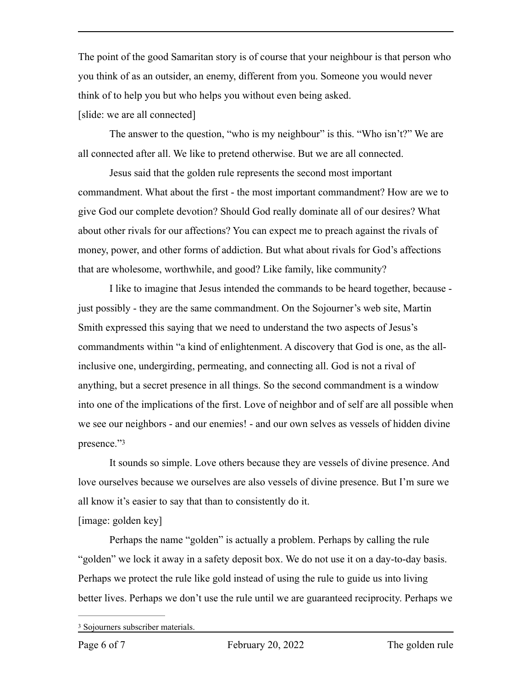The point of the good Samaritan story is of course that your neighbour is that person who you think of as an outsider, an enemy, different from you. Someone you would never think of to help you but who helps you without even being asked.

[slide: we are all connected]

The answer to the question, "who is my neighbour" is this. "Who isn't?" We are all connected after all. We like to pretend otherwise. But we are all connected.

Jesus said that the golden rule represents the second most important commandment. What about the first - the most important commandment? How are we to give God our complete devotion? Should God really dominate all of our desires? What about other rivals for our affections? You can expect me to preach against the rivals of money, power, and other forms of addiction. But what about rivals for God's affections that are wholesome, worthwhile, and good? Like family, like community?

I like to imagine that Jesus intended the commands to be heard together, because just possibly - they are the same commandment. On the Sojourner's web site, Martin Smith expressed this saying that we need to understand the two aspects of Jesus's commandments within "a kind of enlightenment. A discovery that God is one, as the allinclusive one, undergirding, permeating, and connecting all. God is not a rival of anything, but a secret presence in all things. So the second commandment is a window into one of the implications of the first. Love of neighbor and of self are all possible when we see our neighbors - and our enemies! - and our own selves as vessels of hidden divine presence.["3](#page-5-0)

<span id="page-5-1"></span>It sounds so simple. Love others because they are vessels of divine presence. And love ourselves because we ourselves are also vessels of divine presence. But I'm sure we all know it's easier to say that than to consistently do it.

[image: golden key]

Perhaps the name "golden" is actually a problem. Perhaps by calling the rule "golden" we lock it away in a safety deposit box. We do not use it on a day-to-day basis. Perhaps we protect the rule like gold instead of using the rule to guide us into living better lives. Perhaps we don't use the rule until we are guaranteed reciprocity. Perhaps we

<span id="page-5-0"></span><sup>&</sup>lt;sup>[3](#page-5-1)</sup> Sojourners subscriber materials.